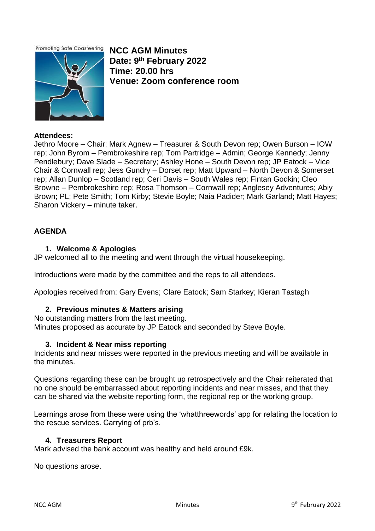**Promoting Safe Coasteering** 



**NCC AGM Minutes Date: 9th February 2022 Time: 20.00 hrs Venue: Zoom conference room** 

## **Attendees:**

Jethro Moore – Chair; Mark Agnew – Treasurer & South Devon rep; Owen Burson – IOW rep; John Byrom – Pembrokeshire rep; Tom Partridge – Admin; George Kennedy; Jenny Pendlebury; Dave Slade – Secretary; Ashley Hone – South Devon rep; JP Eatock – Vice Chair & Cornwall rep; Jess Gundry – Dorset rep; Matt Upward – North Devon & Somerset rep; Allan Dunlop – Scotland rep; Ceri Davis – South Wales rep; Fintan Godkin; Cleo Browne – Pembrokeshire rep; Rosa Thomson – Cornwall rep; Anglesey Adventures; Abiy Brown; PL; Pete Smith; Tom Kirby; Stevie Boyle; Naia Padider; Mark Garland; Matt Hayes; Sharon Vickery – minute taker.

## **AGENDA**

## **1. Welcome & Apologies**

JP welcomed all to the meeting and went through the virtual housekeeping.

Introductions were made by the committee and the reps to all attendees.

Apologies received from: Gary Evens; Clare Eatock; Sam Starkey; Kieran Tastagh

## **2. Previous minutes & Matters arising**

No outstanding matters from the last meeting. Minutes proposed as accurate by JP Eatock and seconded by Steve Boyle.

### **3. Incident & Near miss reporting**

Incidents and near misses were reported in the previous meeting and will be available in the minutes.

Questions regarding these can be brought up retrospectively and the Chair reiterated that no one should be embarrassed about reporting incidents and near misses, and that they can be shared via the website reporting form, the regional rep or the working group.

Learnings arose from these were using the 'whatthreewords' app for relating the location to the rescue services. Carrying of prb's.

### **4. Treasurers Report**

Mark advised the bank account was healthy and held around £9k.

No questions arose.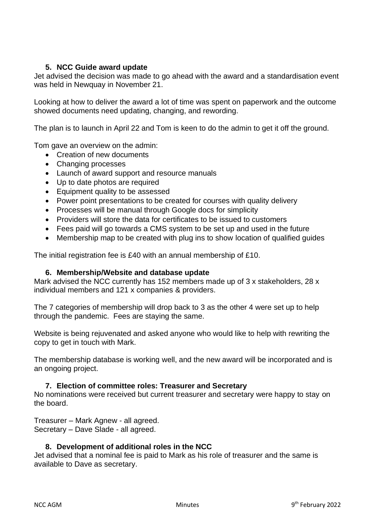## **5. NCC Guide award update**

Jet advised the decision was made to go ahead with the award and a standardisation event was held in Newquay in November 21.

Looking at how to deliver the award a lot of time was spent on paperwork and the outcome showed documents need updating, changing, and rewording.

The plan is to launch in April 22 and Tom is keen to do the admin to get it off the ground.

Tom gave an overview on the admin:

- Creation of new documents
- Changing processes
- Launch of award support and resource manuals
- Up to date photos are required
- Equipment quality to be assessed
- Power point presentations to be created for courses with quality delivery
- Processes will be manual through Google docs for simplicity
- Providers will store the data for certificates to be issued to customers
- Fees paid will go towards a CMS system to be set up and used in the future
- Membership map to be created with plug ins to show location of qualified guides

The initial registration fee is £40 with an annual membership of £10.

### **6. Membership/Website and database update**

Mark advised the NCC currently has 152 members made up of 3 x stakeholders, 28 x individual members and 121 x companies & providers.

The 7 categories of membership will drop back to 3 as the other 4 were set up to help through the pandemic. Fees are staying the same.

Website is being rejuvenated and asked anyone who would like to help with rewriting the copy to get in touch with Mark.

The membership database is working well, and the new award will be incorporated and is an ongoing project.

### **7. Election of committee roles: Treasurer and Secretary**

No nominations were received but current treasurer and secretary were happy to stay on the board.

Treasurer – Mark Agnew - all agreed. Secretary – Dave Slade - all agreed.

### **8. Development of additional roles in the NCC**

Jet advised that a nominal fee is paid to Mark as his role of treasurer and the same is available to Dave as secretary.